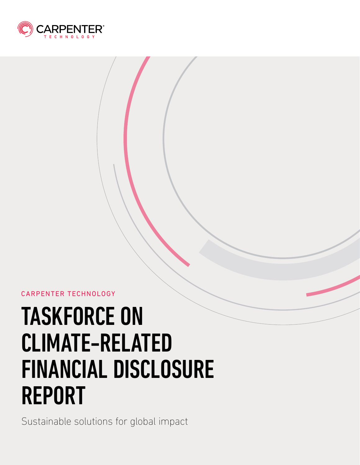

### CARPENTER TECHNOLOGY

# TASKFORCE ON CLIMATE-RELATED FINANCIAL DISCLOSURE REPORT

Sustainable solutions for global impact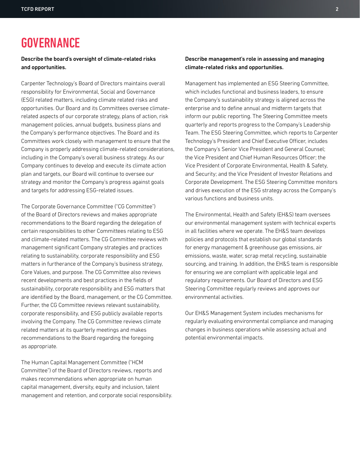# **GOVERNANCE**

#### Describe the board's oversight of climate-related risks and opportunities.

Carpenter Technology's Board of Directors maintains overall responsibility for Environmental, Social and Governance (ESG) related matters, including climate related risks and opportunities. Our Board and its Committees oversee climaterelated aspects of our corporate strategy, plans of action, risk management policies, annual budgets, business plans and the Company's performance objectives. The Board and its Committees work closely with management to ensure that the Company is properly addressing climate-related considerations, including in the Company's overall business strategy. As our Company continues to develop and execute its climate action plan and targets, our Board will continue to oversee our strategy and monitor the Company's progress against goals and targets for addressing ESG-related issues.

The Corporate Governance Committee ("CG Committee") of the Board of Directors reviews and makes appropriate recommendations to the Board regarding the delegation of certain responsibilities to other Committees relating to ESG and climate-related matters. The CG Committee reviews with management significant Company strategies and practices relating to sustainability, corporate responsibility and ESG matters in furtherance of the Company's business strategy, Core Values, and purpose. The CG Committee also reviews recent developments and best practices in the fields of sustainability, corporate responsibility and ESG matters that are identified by the Board, management, or the CG Committee. Further, the CG Committee reviews relevant sustainability, corporate responsibility, and ESG publicly available reports involving the Company. The CG Committee reviews climate related matters at its quarterly meetings and makes recommendations to the Board regarding the foregoing as appropriate.

The Human Capital Management Committee ("HCM Committee") of the Board of Directors reviews, reports and makes recommendations when appropriate on human capital management, diversity, equity and inclusion, talent management and retention, and corporate social responsibility.

#### Describe management's role in assessing and managing climate-related risks and opportunities.

Management has implemented an ESG Steering Committee, which includes functional and business leaders, to ensure the Company's sustainability strategy is aligned across the enterprise and to define annual and midterm targets that inform our public reporting. The Steering Committee meets quarterly and reports progress to the Company's Leadership Team. The ESG Steering Committee, which reports to Carpenter Technology's President and Chief Executive Officer, includes the Company's Senior Vice President and General Counsel; the Vice President and Chief Human Resources Officer; the Vice President of Corporate Environmental, Health & Safety, and Security; and the Vice President of Investor Relations and Corporate Development. The ESG Steering Committee monitors and drives execution of the ESG strategy across the Company's various functions and business units.

The Environmental, Health and Safety (EH&S) team oversees our environmental management system with technical experts in all facilities where we operate. The EH&S team develops policies and protocols that establish our global standards for energy management & greenhouse gas emissions, air emissions, waste, water, scrap metal recycling, sustainable sourcing, and training. In addition, the EH&S team is responsible for ensuring we are compliant with applicable legal and regulatory requirements. Our Board of Directors and ESG Steering Committee regularly reviews and approves our environmental activities.

Our EH&S Management System includes mechanisms for regularly evaluating environmental compliance and managing changes in business operations while assessing actual and potential environmental impacts.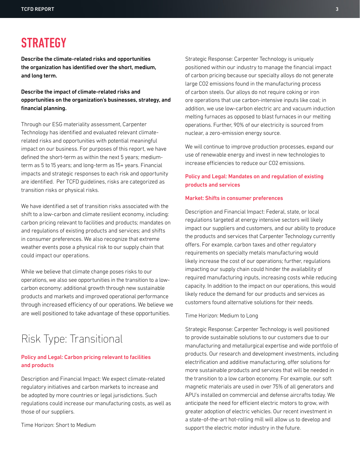# **STRATEGY**

Describe the climate-related risks and opportunities the organization has identified over the short, medium, and long term.

Describe the impact of climate-related risks and opportunities on the organization's businesses, strategy, and financial planning.

Through our ESG materiality assessment, Carpenter Technology has identified and evaluated relevant climaterelated risks and opportunities with potential meaningful impact on our business. For purposes of this report, we have defined the short-term as within the next 5 years; mediumterm as 5 to 15 years; and long-term as 15+ years. Financial impacts and strategic responses to each risk and opportunity are identified. Per TCFD guidelines, risks are categorized as transition risks or physical risks.

We have identified a set of transition risks associated with the shift to a low-carbon and climate resilient economy, including: carbon pricing relevant to facilities and products; mandates on and regulations of existing products and services; and shifts in consumer preferences. We also recognize that extreme weather events pose a physical risk to our supply chain that could impact our operations.

While we believe that climate change poses risks to our operations, we also see opportunities in the transition to a lowcarbon economy: additional growth through new sustainable products and markets and improved operational performance through increased efficiency of our operations. We believe we are well positioned to take advantage of these opportunities.

## Risk Type: Transitional

#### Policy and Legal: Carbon pricing relevant to facilities and products

Description and Financial Impact: We expect climate-related regulatory initiatives and carbon markets to increase and be adopted by more countries or legal jurisdictions. Such regulations could increase our manufacturing costs, as well as those of our suppliers.

Time Horizon: Short to Medium

Strategic Response: Carpenter Technology is uniquely positioned within our industry to manage the financial impact of carbon pricing because our specialty alloys do not generate large CO2 emissions found in the manufacturing process of carbon steels. Our alloys do not require coking or iron ore operations that use carbon-intensive inputs like coal; in addition, we use low-carbon electric arc and vacuum induction melting furnaces as opposed to blast furnaces in our melting operations. Further, 90% of our electricity is sourced from nuclear, a zero-emission energy source.

We will continue to improve production processes, expand our use of renewable energy and invest in new technologies to increase efficiencies to reduce our CO2 emissions.

### Policy and Legal: Mandates on and regulation of existing products and services

#### Market: Shifts in consumer preferences

Description and Financial Impact: Federal, state, or local regulations targeted at energy intensive sectors will likely impact our suppliers and customers, and our ability to produce the products and services that Carpenter Technology currently offers. For example, carbon taxes and other regulatory requirements on specialty metals manufacturing would likely increase the cost of our operations; further, regulations impacting our supply chain could hinder the availability of required manufacturing inputs, increasing costs while reducing capacity. In addition to the impact on our operations, this would likely reduce the demand for our products and services as customers found alternative solutions for their needs.

#### Time Horizon: Medium to Long

Strategic Response: Carpenter Technology is well positioned to provide sustainable solutions to our customers due to our manufacturing and metallurgical expertise and wide portfolio of products. Our research and development investments, including electrification and additive manufacturing, offer solutions for more sustainable products and services that will be needed in the transition to a low carbon economy. For example, our soft magnetic materials are used in over 75% of all generators and APU's installed on commercial and defense aircrafts today. We anticipate the need for efficient electric motors to grow, with greater adoption of electric vehicles. Our recent investment in a state-of-the-art hot-rolling mill will allow us to develop and support the electric motor industry in the future.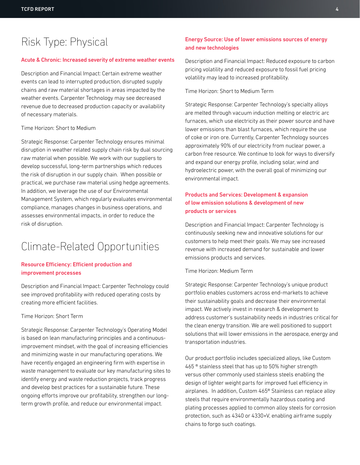# Risk Type: Physical

#### Acute & Chronic: Increased severity of extreme weather events

Description and Financial Impact: Certain extreme weather events can lead to interrupted production, disrupted supply chains and raw material shortages in areas impacted by the weather events. Carpenter Technology may see decreased revenue due to decreased production capacity or availability of necessary materials.

#### Time Horizon: Short to Medium

Strategic Response: Carpenter Technology ensures minimal disruption in weather related supply chain risk by dual sourcing raw material when possible. We work with our suppliers to develop successful, long-term partnerships which reduces the risk of disruption in our supply chain. When possible or practical, we purchase raw material using hedge agreements. In addition, we leverage the use of our Environmental Management System, which regularly evaluates environmental compliance, manages changes in business operations, and assesses environmental impacts, in order to reduce the risk of disruption.

### Climate-Related Opportunities

#### Resource Efficiency: Efficient production and improvement processes

Description and Financial Impact: Carpenter Technology could see improved profitability with reduced operating costs by creating more efficient facilities.

#### Time Horizon: Short Term

Strategic Response: Carpenter Technology's Operating Model is based on lean manufacturing principles and a continuousimprovement mindset, with the goal of increasing efficiencies and minimizing waste in our manufacturing operations. We have recently engaged an engineering firm with expertise in waste management to evaluate our key manufacturing sites to identify energy and waste reduction projects, track progress and develop best practices for a sustainable future. These ongoing efforts improve our profitability, strengthen our longterm growth profile, and reduce our environmental impact.

### Energy Source: Use of lower emissions sources of energy and new technologies

Description and Financial Impact: Reduced exposure to carbon pricing volatility and reduced exposure to fossil fuel pricing volatility may lead to increased profitability.

Time Horizon: Short to Medium Term

Strategic Response: Carpenter Technology's specialty alloys are melted through vacuum induction melting or electric arc furnaces, which use electricity as their power source and have lower emissions than blast furnaces, which require the use of coke or iron ore. Currently, Carpenter Technology sources approximately 90% of our electricity from nuclear power, a carbon free resource. We continue to look for ways to diversify and expand our energy profile, including solar, wind and hydroelectric power, with the overall goal of minimizing our environmental impact.

### Products and Services: Development & expansion of low emission solutions & development of new products or services

Description and Financial Impact: Carpenter Technology is continuously seeking new and innovative solutions for our customers to help meet their goals. We may see increased revenue with increased demand for sustainable and lower emissions products and services.

#### Time Horizon: Medium Term

Strategic Response: Carpenter Technology's unique product portfolio enables customers across end-markets to achieve their sustainability goals and decrease their environmental impact. We actively invest in research & development to address customer's sustainability needs in industries critical for the clean energy transition. We are well positioned to support solutions that will lower emissions in the aerospace, energy and transportation industries.

Our product portfolio includes specialized alloys, like Custom 465 ® stainless steel that has up to 50% higher strength versus other commonly used stainless steels enabling the design of lighter weight parts for improved fuel efficiency in airplanes. In addition, Custom 465® Stainless can replace alloy steels that require environmentally hazardous coating and plating processes applied to common alloy steels for corrosion protection, such as 4340 or 4330+V, enabling airframe supply chains to forgo such coatings.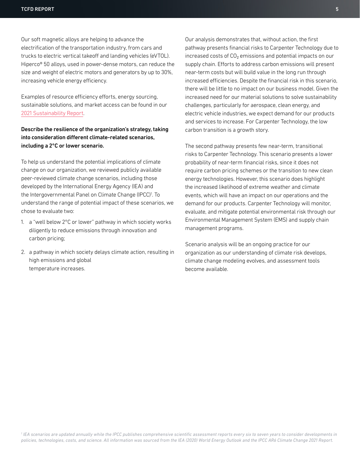Our soft magnetic alloys are helping to advance the electrification of the transportation industry, from cars and trucks to electric vertical takeoff and landing vehicles (eVTOL). Hiperco® 50 alloys, used in power-dense motors, can reduce the size and weight of electric motors and generators by up to 30%, increasing vehicle energy efficiency.

Examples of resource efficiency efforts, energy sourcing, sustainable solutions, and market access can be found in our [2021 Sustainability Report.](https://ir.carpentertechnology.com/static-files/fea79e42-1993-49f3-a3a2-6e5e405020ec)

### Describe the resilience of the organization's strategy, taking into consideration different climate-related scenarios, including a 2°C or lower scenario.

To help us understand the potential implications of climate change on our organization, we reviewed publicly available peer-reviewed climate change scenarios, including those developed by the International Energy Agency (IEA) and the Intergovernmental Panel on Climate Change (IPCC)<sup>1</sup>. To understand the range of potential impact of these scenarios, we chose to evaluate two:

- 1. a "well below 2°C or lower" pathway in which society works diligently to reduce emissions through innovation and carbon pricing;
- 2. a pathway in which society delays climate action, resulting in high emissions and global temperature increases.

Our analysis demonstrates that, without action, the first pathway presents financial risks to Carpenter Technology due to increased costs of CO₂ emissions and potential impacts on our supply chain. Efforts to address carbon emissions will present near-term costs but will build value in the long run through increased efficiencies. Despite the financial risk in this scenario, there will be little to no impact on our business model. Given the increased need for our material solutions to solve sustainability challenges, particularly for aerospace, clean energy, and electric vehicle industries, we expect demand for our products and services to increase. For Carpenter Technology, the low carbon transition is a growth story.

The second pathway presents few near-term, transitional risks to Carpenter Technology. This scenario presents a lower probability of near-term financial risks, since it does not require carbon pricing schemes or the transition to new clean energy technologies. However, this scenario does highlight the increased likelihood of extreme weather and climate events, which will have an impact on our operations and the demand for our products. Carpenter Technology will monitor, evaluate, and mitigate potential environmental risk through our Environmental Management System (EMS) and supply chain management programs.

Scenario analysis will be an ongoing practice for our organization as our understanding of climate risk develops, climate change modeling evolves, and assessment tools become available.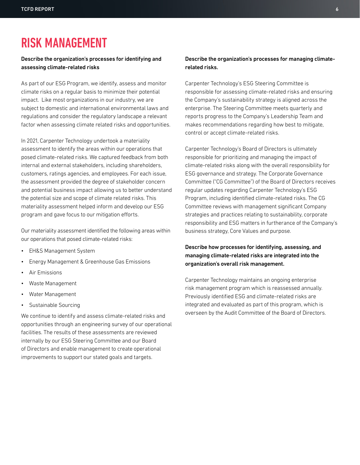# RISK MANAGEMENT

#### Describe the organization's processes for identifying and assessing climate-related risks

As part of our ESG Program, we identify, assess and monitor climate risks on a regular basis to minimize their potential impact. Like most organizations in our industry, we are subject to domestic and international environmental laws and regulations and consider the regulatory landscape a relevant factor when assessing climate related risks and opportunities.

In 2021, Carpenter Technology undertook a materiality assessment to identify the areas within our operations that posed climate-related risks. We captured feedback from both internal and external stakeholders, including shareholders, customers, ratings agencies, and employees. For each issue, the assessment provided the degree of stakeholder concern and potential business impact allowing us to better understand the potential size and scope of climate related risks. This materiality assessment helped inform and develop our ESG program and gave focus to our mitigation efforts.

Our materiality assessment identified the following areas within our operations that posed climate-related risks:

- EH&S Management System
- Energy Management & Greenhouse Gas Emissions
- Air Emissions
- Waste Management
- Water Management
- Sustainable Sourcing

We continue to identify and assess climate-related risks and opportunities through an engineering survey of our operational facilities. The results of these assessments are reviewed internally by our ESG Steering Committee and our Board of Directors and enable management to create operational improvements to support our stated goals and targets.

#### Describe the organization's processes for managing climaterelated risks.

Carpenter Technology's ESG Steering Committee is responsible for assessing climate-related risks and ensuring the Company's sustainability strategy is aligned across the enterprise. The Steering Committee meets quarterly and reports progress to the Company's Leadership Team and makes recommendations regarding how best to mitigate, control or accept climate-related risks.

Carpenter Technology's Board of Directors is ultimately responsible for prioritizing and managing the impact of climate-related risks along with the overall responsibility for ESG governance and strategy. The Corporate Governance Committee ("CG Committee") of the Board of Directors receives regular updates regarding Carpenter Technology's ESG Program, including identified climate-related risks. The CG Committee reviews with management significant Company strategies and practices relating to sustainability, corporate responsibility and ESG matters in furtherance of the Company's business strategy, Core Values and purpose.

### Describe how processes for identifying, assessing, and managing climate-related risks are integrated into the organization's overall risk management.

Carpenter Technology maintains an ongoing enterprise risk management program which is reassessed annually. Previously identified ESG and climate-related risks are integrated and evaluated as part of this program, which is overseen by the Audit Committee of the Board of Directors.